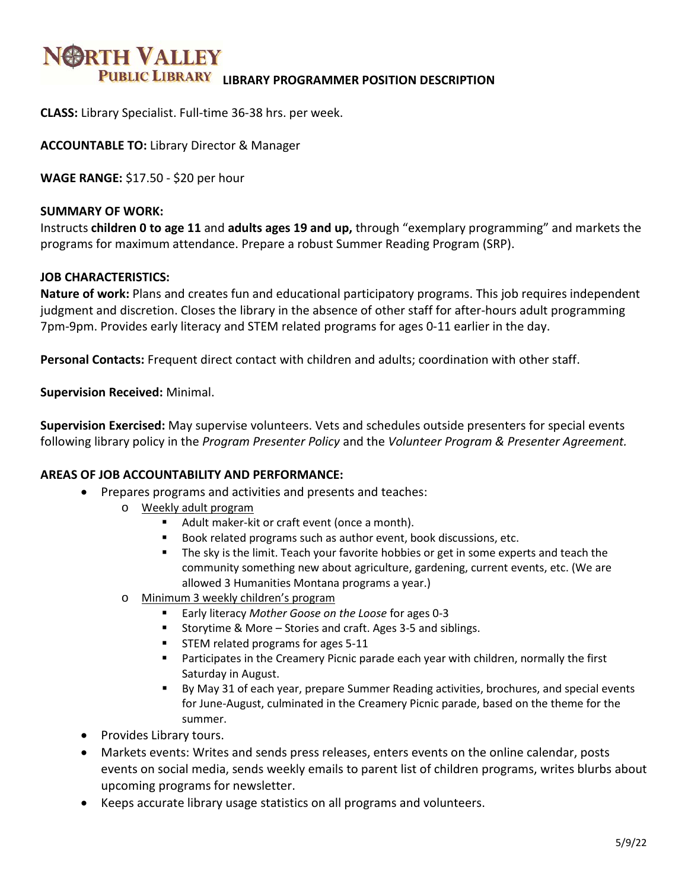# **BRTH VALLEY PUBLIC LIBRARY LIBRARY PROGRAMMER POSITION DESCRIPTION**

**CLASS:** Library Specialist. Full-time 36-38 hrs. per week.

**ACCOUNTABLE TO:** Library Director & Manager

**WAGE RANGE:** \$17.50 - \$20 per hour

#### **SUMMARY OF WORK:**

Instructs **children 0 to age 11** and **adults ages 19 and up,** through "exemplary programming" and markets the programs for maximum attendance. Prepare a robust Summer Reading Program (SRP).

#### **JOB CHARACTERISTICS:**

**Nature of work:** Plans and creates fun and educational participatory programs. This job requires independent judgment and discretion. Closes the library in the absence of other staff for after-hours adult programming 7pm-9pm. Provides early literacy and STEM related programs for ages 0-11 earlier in the day.

**Personal Contacts:** Frequent direct contact with children and adults; coordination with other staff.

**Supervision Received:** Minimal.

**Supervision Exercised:** May supervise volunteers. Vets and schedules outside presenters for special events following library policy in the *Program Presenter Policy* and the *Volunteer Program & Presenter Agreement.*

#### **AREAS OF JOB ACCOUNTABILITY AND PERFORMANCE:**

- Prepares programs and activities and presents and teaches:
	- o Weekly adult program
		- Adult maker-kit or craft event (once a month).
		- Book related programs such as author event, book discussions, etc.
		- **The sky is the limit. Teach your favorite hobbies or get in some experts and teach the** community something new about agriculture, gardening, current events, etc. (We are allowed 3 Humanities Montana programs a year.)
	- o Minimum 3 weekly children's program
		- Early literacy *Mother Goose on the Loose* for ages 0-3
		- Storytime & More Stories and craft. Ages 3-5 and siblings.
		- **STEM related programs for ages 5-11**
		- Participates in the Creamery Picnic parade each year with children, normally the first Saturday in August.
		- By May 31 of each year, prepare Summer Reading activities, brochures, and special events for June-August, culminated in the Creamery Picnic parade, based on the theme for the summer.
- Provides Library tours.
- Markets events: Writes and sends press releases, enters events on the online calendar, posts events on social media, sends weekly emails to parent list of children programs, writes blurbs about upcoming programs for newsletter.
- Keeps accurate library usage statistics on all programs and volunteers.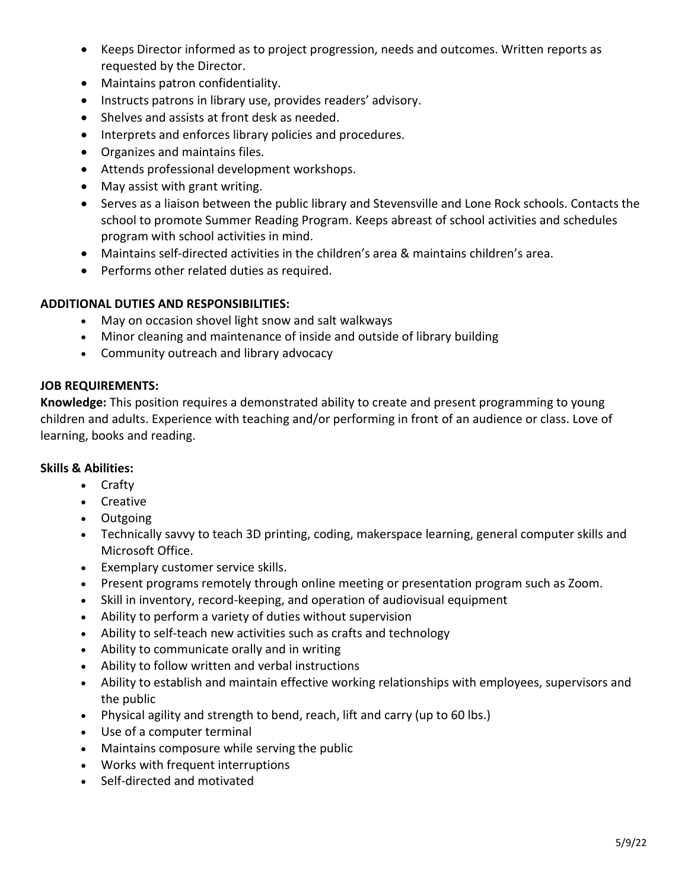- Keeps Director informed as to project progression, needs and outcomes. Written reports as requested by the Director.
- Maintains patron confidentiality.
- Instructs patrons in library use, provides readers' advisory.
- Shelves and assists at front desk as needed.
- Interprets and enforces library policies and procedures.
- Organizes and maintains files.
- Attends professional development workshops.
- May assist with grant writing.
- Serves as a liaison between the public library and Stevensville and Lone Rock schools. Contacts the school to promote Summer Reading Program. Keeps abreast of school activities and schedules program with school activities in mind.
- Maintains self-directed activities in the children's area & maintains children's area.
- Performs other related duties as required.

## **ADDITIONAL DUTIES AND RESPONSIBILITIES:**

- May on occasion shovel light snow and salt walkways
- Minor cleaning and maintenance of inside and outside of library building
- Community outreach and library advocacy

## **JOB REQUIREMENTS:**

**Knowledge:** This position requires a demonstrated ability to create and present programming to young children and adults. Experience with teaching and/or performing in front of an audience or class. Love of learning, books and reading.

#### **Skills & Abilities:**

- Crafty
- Creative
- Outgoing
- Technically savvy to teach 3D printing, coding, makerspace learning, general computer skills and Microsoft Office.
- Exemplary customer service skills.
- Present programs remotely through online meeting or presentation program such as Zoom.
- Skill in inventory, record-keeping, and operation of audiovisual equipment
- Ability to perform a variety of duties without supervision
- Ability to self-teach new activities such as crafts and technology
- Ability to communicate orally and in writing
- Ability to follow written and verbal instructions
- Ability to establish and maintain effective working relationships with employees, supervisors and the public
- Physical agility and strength to bend, reach, lift and carry (up to 60 lbs.)
- Use of a computer terminal
- Maintains composure while serving the public
- Works with frequent interruptions
- Self-directed and motivated